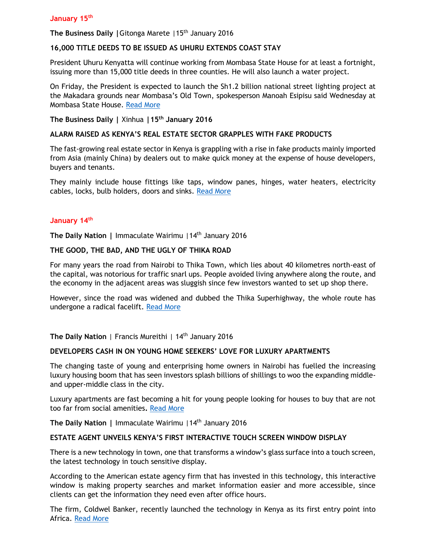**The Business Daily | Gitonga Marete | 15<sup>th</sup> January 2016** 

# **16,000 TITLE DEEDS TO BE ISSUED AS UHURU EXTENDS COAST STAY**

President Uhuru Kenyatta will continue working from Mombasa State House for at least a fortnight, issuing more than 15,000 title deeds in three counties. He will also launch a water project.

On Friday, the President is expected to launch the Sh1.2 billion national street lighting project at the Makadara grounds near Mombasa's Old Town, spokesperson Manoah Esipisu said Wednesday at Mombasa State House. [Read More](http://www.businessdailyafrica.com/-/539546/3032454/-/p5k5glz/-/index.html)

**The Business Daily |** Xinhua **|15th January 2016**

## **ALARM RAISED AS KENYA'S REAL ESTATE SECTOR GRAPPLES WITH FAKE PRODUCTS**

The fast-growing real estate sector in Kenya is grappling with a rise in fake products mainly imported from Asia (mainly China) by dealers out to make quick money at the expense of house developers, buyers and tenants.

They mainly include house fittings like taps, window panes, hinges, water heaters, electricity cables, locks, bulb holders, doors and sinks. [Read More](http://www.businessdailyafrica.com/Kenya-real-estate-sector-grapples-with-fake-products-/-/539552/3030866/-/kdowqh/-/index.html)

## **January 14th**

**The Daily Nation |** Immaculate Wairimu |14th January 2016

## **THE GOOD, THE BAD, AND THE UGLY OF THIKA ROAD**

For many years the road from Nairobi to Thika Town, which lies about 40 kilometres north-east of the capital, was notorious for traffic snarl ups. People avoided living anywhere along the route, and the economy in the adjacent areas was sluggish since few investors wanted to set up shop there.

However, since the road was widened and dubbed the Thika Superhighway, the whole route has undergone a radical facelift. [Read More](http://www.nation.co.ke/lifestyle/DN2/The-good-the-bad-and-the-ugly-of-Thika-Road/-/957860/3032554/-/gcfba1/-/index.html)

**The Daily Nation** | Francis Mureithi | 14th January 2016

### **DEVELOPERS CASH IN ON YOUNG HOME SEEKERS' LOVE FOR LUXURY APARTMENTS**

The changing taste of young and enterprising home owners in Nairobi has fuelled the increasing luxury housing boom that has seen investors splash billions of shillings to woo the expanding middleand upper-middle class in the city.

Luxury apartments are fast becoming a hit for young people looking for houses to buy that are not too far from social amenities**.** [Read More](http://www.nation.co.ke/lifestyle/DN2/young-home-seeker-love-for-luxury-apartments/-/957860/3032556/-/qreldtz/-/index.html)

**The Daily Nation |** Immaculate Wairimu |14th January 2016

### **ESTATE AGENT UNVEILS KENYA'S FIRST INTERACTIVE TOUCH SCREEN WINDOW DISPLAY**

There is a new technology in town, one that transforms a window's glass surface into a touch screen, the latest technology in touch sensitive display.

According to the American estate agency firm that has invested in this technology, this interactive window is making property searches and market information easier and more accessible, since clients can get the information they need even after office hours.

The firm, Coldwel Banker, recently launched the technology in Kenya as its first entry point into Africa. [Read More](http://www.nation.co.ke/lifestyle/DN2/Estate-agent-unveils-Kenya-s-first-interactive-touch-screen/-/957860/3032558/-/132yyg4/-/index.html)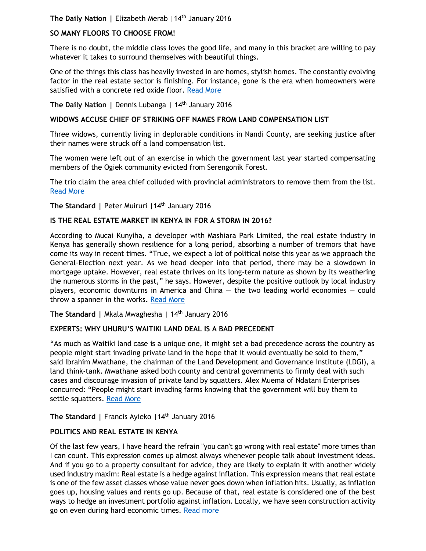**The Daily Nation |** Elizabeth Merab |14th January 2016

# **SO MANY FLOORS TO CHOOSE FROM!**

There is no doubt, the middle class loves the good life, and many in this bracket are willing to pay whatever it takes to surround themselves with beautiful things.

One of the things this class has heavily invested in are homes, stylish homes. The constantly evolving factor in the real estate sector is finishing. For instance, gone is the era when homeowners were satisfied with a concrete red oxide floor. [Read More](http://www.nation.co.ke/lifestyle/DN2/So-many-floors-to-choose-from/-/957860/3032562/-/8tv9vrz/-/index.html)

**The Daily Nation |** Dennis Lubanga | 14th January 2016

## **WIDOWS ACCUSE CHIEF OF STRIKING OFF NAMES FROM LAND COMPENSATION LIST**

Three widows, currently living in deplorable conditions in Nandi County, are seeking justice after their names were struck off a land compensation list.

The women were left out of an exercise in which the government last year started compensating members of the Ogiek community evicted from Serengonik Forest.

The trio claim the area chief colluded with provincial administrators to remove them from the list. [Read More](http://www.nation.co.ke/counties/Widows-accuse-chief-of-denying-them-land-compensation/-/1107872/3032644/-/51w8ty/-/index.html)

**The Standard |** Peter Muiruri |14th January 2016

## **IS THE REAL ESTATE MARKET IN KENYA IN FOR A STORM IN 2016?**

According to Mucai Kunyiha, a developer with Mashiara Park Limited, the real estate industry in Kenya has generally shown resilience for a long period, absorbing a number of tremors that have come its way in recent times. "True, we expect a lot of political noise this year as we approach the General-Election next year. As we head deeper into that period, there may be a slowdown in mortgage uptake. However, real estate thrives on its long-term nature as shown by its weathering the numerous storms in the past," he says. However, despite the positive outlook by local industry players, economic downturns in America and China  $-$  the two leading world economies  $-$  could throw a spanner in the works**.** [Read More](file:///F:/media%20weekly%20review%20report/Read%20more%20at:%20http:/www.standardmedia.co.ke/lifestyle/article/2000188036/is-the-real-estate-market-in-kenya-in-for-a-storm-in-2016)

**The Standard |** Mkala Mwaghesha | 14th January 2016

# **EXPERTS: WHY UHURU'S WAITIKI LAND DEAL IS A BAD PRECEDENT**

"As much as Waitiki land case is a unique one, it might set a bad precedence across the country as people might start invading private land in the hope that it would eventually be sold to them," said Ibrahim Mwathane, the chairman of the Land Development and Governance Institute (LDGI), a land think-tank. Mwathane asked both county and central governments to firmly deal with such cases and discourage invasion of private land by squatters. Alex Muema of Ndatani Enterprises concurred: "People might start invading farms knowing that the government will buy them to settle squatters. [Read More](file:///F:/media%20weekly%20review%20report/Read%20more%20at:%20http:/www.standardmedia.co.ke/lifestyle/article/2000188042/experts-why-uhuru-s-waitiki-land-deal-is-a-bad-precedent)

The Standard | Francis Ayieko | 14<sup>th</sup> January 2016

# **POLITICS AND REAL ESTATE IN KENYA**

Of the last few years, I have heard the refrain "you can't go wrong with real estate" more times than I can count. This expression comes up almost always whenever people talk about investment ideas. And if you go to a property consultant for advice, they are likely to explain it with another widely used industry maxim: Real estate is a hedge against inflation. This expression means that real estate is one of the few asset classes whose value never goes down when inflation hits. Usually, as inflation goes up, housing values and rents go up. Because of that, real estate is considered one of the best ways to hedge an investment portfolio against inflation. Locally, we have seen construction activity go on even during hard economic times. [Read more](file:///F:/media%20weekly%20review%20report/Read%20more%20at:%20http:/www.standardmedia.co.ke/lifestyle/article/2000188032/politics-and-real-estate-in-kenya)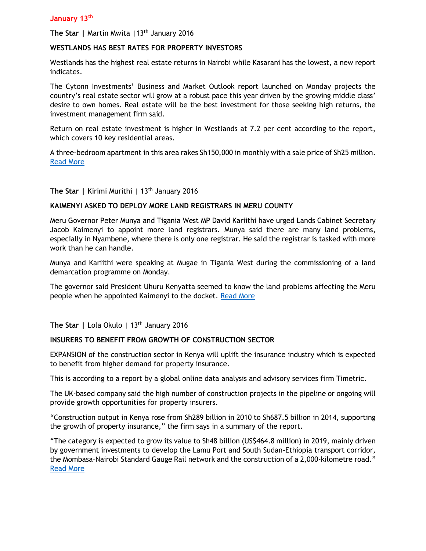### **January 13th**

The Star | Martin Mwita | 13<sup>th</sup> January 2016

### **WESTLANDS HAS BEST RATES FOR PROPERTY INVESTORS**

Westlands has the highest real estate returns in Nairobi while Kasarani has the lowest, a new report indicates.

The Cytonn Investments' Business and Market Outlook report launched on Monday projects the country's real estate sector will grow at a robust pace this year driven by the growing middle class' desire to own homes. Real estate will be the best investment for those seeking high returns, the investment management firm said.

Return on real estate investment is higher in Westlands at 7.2 per cent according to the report, which covers 10 key residential areas.

A three-bedroom apartment in this area rakes Sh150,000 in monthly with a sale price of Sh25 million. [Read More](http://www.the-star.co.ke/news/2016/01/13/westlands-has-best-rates-for-property-investors_c1274108)

**The Star |** Kirimi Murithi | 13th January 2016

## **KAIMENYI ASKED TO DEPLOY MORE LAND REGISTRARS IN MERU COUNTY**

Meru Governor Peter Munya and Tigania West MP David Kariithi have urged Lands Cabinet Secretary Jacob Kaimenyi to appoint more land registrars. Munya said there are many land problems, especially in Nyambene, where there is only one registrar. He said the registrar is tasked with more work than he can handle.

Munya and Kariithi were speaking at Mugae in Tigania West during the commissioning of a land demarcation programme on Monday.

The governor said President Uhuru Kenyatta seemed to know the land problems affecting the Meru people when he appointed Kaimenyi to the docket. [Read More](http://www.the-star.co.ke/news/2016/01/13/kaimenyi-asked-to-deploy-more-land-registrars-in-meru-county_c1274677)

The Star | Lola Okulo | 13<sup>th</sup> January 2016

### **INSURERS TO BENEFIT FROM GROWTH OF CONSTRUCTION SECTOR**

EXPANSION of the construction sector in Kenya will uplift the insurance industry which is expected to benefit from higher demand for property insurance.

This is according to a report by a global online data analysis and advisory services firm Timetric.

The UK-based company said the high number of construction projects in the pipeline or ongoing will provide growth opportunities for property insurers.

"Construction output in Kenya rose from Sh289 billion in 2010 to Sh687.5 billion in 2014, supporting the growth of property insurance," the firm says in a summary of the report.

"The category is expected to grow its value to Sh48 billion (US\$464.8 million) in 2019, mainly driven by government investments to develop the Lamu Port and South Sudan-Ethiopia transport corridor, the Mombasa–Nairobi Standard Gauge Rail network and the construction of a 2,000-kilometre road." [Read More](http://www.the-star.co.ke/news/2016/01/13/insurers-to-benefit-from-growth-of-construction-sector_c1274657)